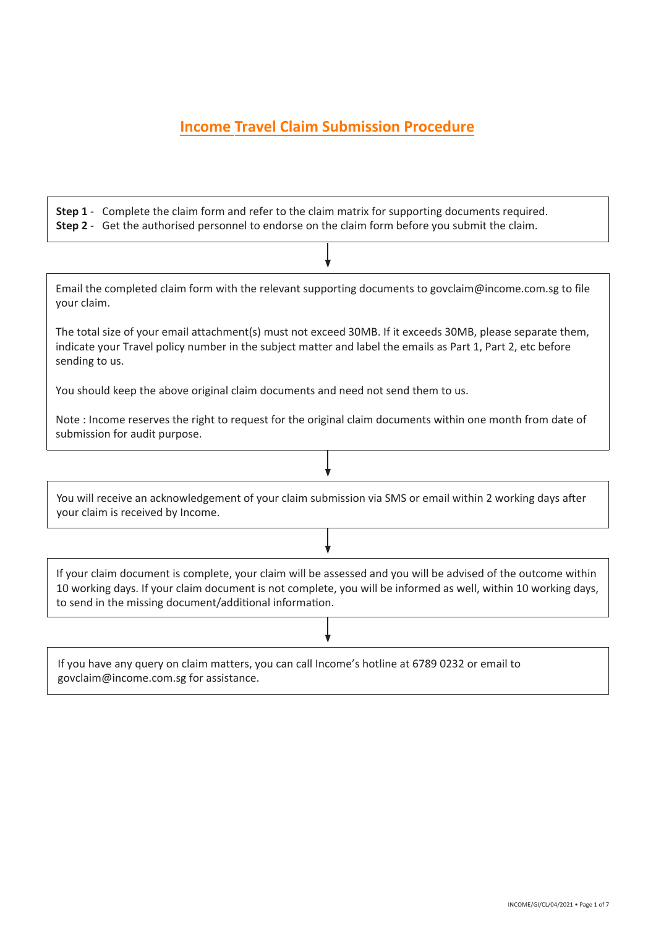# **Income Travel Claim Submission Procedure**

**Step 1** - Complete the claim form and refer to the claim matrix for supporting documents required. **Step 2** - Get the authorised personnel to endorse on the claim form before you submit the claim.

Email the completed claim form with the relevant supporting documents to govclaim@income.com.sg to file your claim.

The total size of your email attachment(s) must not exceed 30MB. If it exceeds 30MB, please separate them, indicate your Travel policy number in the subject matter and label the emails as Part 1, Part 2, etc before sending to us.

You should keep the above original claim documents and need not send them to us.

Note : Income reserves the right to request for the original claim documents within one month from date of submission for audit purpose.

You will receive an acknowledgement of your claim submission via SMS or email within 2 working days after your claim is received by Income.

If your claim document is complete, your claim will be assessed and you will be advised of the outcome within 10 working days. If your claim document is not complete, you will be informed as well, within 10 working days, to send in the missing document/additional information.

If you have any query on claim matters, you can call Income's hotline at 6789 0232 or email to govclaim@income.com.sg for assistance.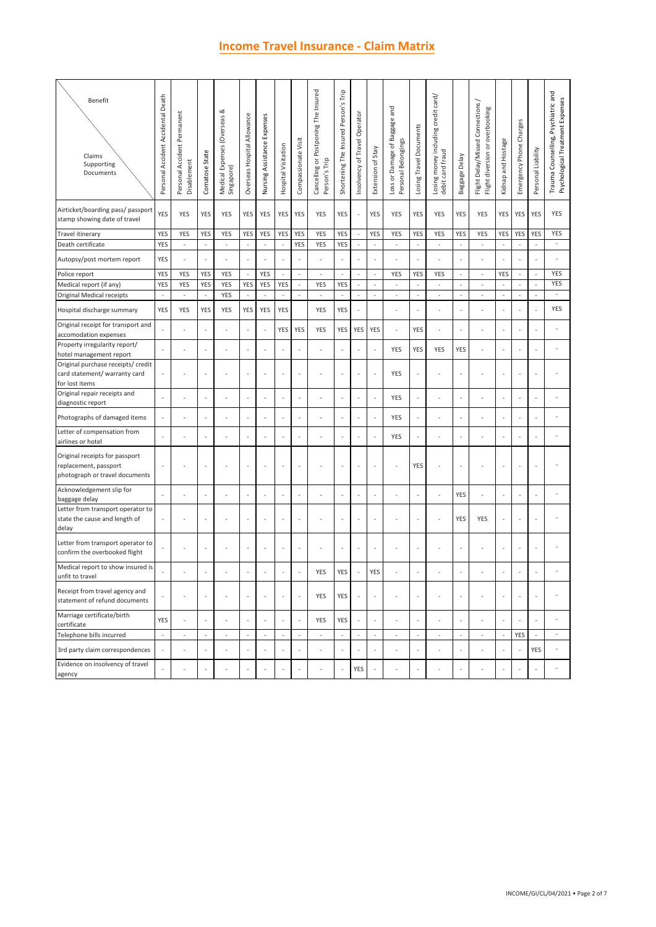## **Income Travel Insurance - Claim Matrix**

| <b>Benefit</b><br>Claims<br>Supporting<br>Documents                                       | Personal Accident Accidental Death | Personal Accident Permanent<br>Disablement | Comatose State                                       | Medical Expenses (Overseas &<br>Singapore) | Overseas Hospital Allowance | Nursing Assistance Expenses        | Hospital Visitation      | Compassionate Visit      | Cancelling or Postponing The Insured<br>Person's Trip | Shortening The Insured Person's Trip | Insolvency of Travel Operator                        | Extension of Stay         | Loss or Damage of Baggage and<br>Personal Belongings | Losing Travel Documents               | Losing money including credit card/<br>debit card fraud | Baggage Delay            | Flight Delay/Missed Connections /<br>Flight diversion or overbooking | Kidnap and Hostage       | Emergency Phone Charges  | Personal Liability       | Trauma Counselling, Psychiatric and<br>Psychological Treatment Expenses |
|-------------------------------------------------------------------------------------------|------------------------------------|--------------------------------------------|------------------------------------------------------|--------------------------------------------|-----------------------------|------------------------------------|--------------------------|--------------------------|-------------------------------------------------------|--------------------------------------|------------------------------------------------------|---------------------------|------------------------------------------------------|---------------------------------------|---------------------------------------------------------|--------------------------|----------------------------------------------------------------------|--------------------------|--------------------------|--------------------------|-------------------------------------------------------------------------|
| Airticket/boarding pass/ passport<br>stamp showing date of travel                         | <b>YES</b>                         | YES                                        | YES                                                  | YES                                        | YES                         | YES                                | YES                      | YES                      | YES                                                   | YES                                  | $\overline{\phantom{a}}$                             | YES                       | YES                                                  | YES                                   | YES                                                     | YES                      | YES                                                                  | YES                      | YES                      | YES                      | YES                                                                     |
| Travel itinerary                                                                          | YES                                | YES                                        | YES                                                  | YES                                        | YES                         | YES                                | <b>YES</b>               | YES                      | YES                                                   | YES                                  | $\blacksquare$                                       | YES                       | YES                                                  | YES                                   | YES                                                     | YES                      | YES                                                                  | <b>YES</b>               | YES                      | YES                      | YES<br>$\overline{\phantom{a}}$                                         |
| Death certificate<br>Autopsy/post mortem report                                           | YES<br>YES                         | $\overline{\phantom{a}}$<br>$\sim$         | $\overline{\phantom{a}}$<br>$\overline{\phantom{a}}$ | $\sim$<br>$\sim$                           | $\omega$<br>$\Box$          | $\overline{\phantom{a}}$<br>$\sim$ | $\blacksquare$<br>÷,     | YES<br>÷,                | YES<br>÷,                                             | YES                                  | $\overline{\phantom{a}}$<br>$\overline{\phantom{a}}$ | $\bar{\phantom{a}}$<br>÷, | $\sim$<br>$\overline{a}$                             | $\bar{\phantom{a}}$<br>$\blacksquare$ | $\sim$<br>ä,                                            | $\omega$<br>$\sim$       | $\overline{\phantom{a}}$<br>$\sim$                                   | $\overline{\phantom{a}}$ | $\overline{\phantom{a}}$ | $\omega$<br>÷,           |                                                                         |
| Police report                                                                             | YES                                | YES                                        | YES                                                  | YES                                        | $\Box$                      | YES                                | $\omega$                 | $\omega$                 | $\sim$                                                | ä,                                   | $\omega$                                             | $\Box$                    | YES                                                  | YES                                   | YES                                                     | $\overline{\phantom{a}}$ | $\overline{\phantom{a}}$                                             | <b>YES</b>               | $\omega$                 | $\overline{\phantom{a}}$ | YES                                                                     |
| Medical report (if any)                                                                   | YES                                | YES                                        | YES                                                  | YES                                        | YES                         | YES                                | YES                      | $\overline{\phantom{a}}$ | YES                                                   | YES                                  | $\overline{\phantom{a}}$                             | ÷,                        | $\overline{\phantom{a}}$                             | $\overline{\phantom{a}}$              | $\overline{\phantom{a}}$                                | ÷,                       | $\blacksquare$                                                       | $\overline{\phantom{a}}$ | ÷,                       | $\overline{\phantom{a}}$ | YES                                                                     |
| Original Medical receipts                                                                 |                                    | $\bar{a}$                                  | ÷.                                                   | YES                                        | $\sim$                      |                                    |                          |                          | $\sim$                                                |                                      | ÷.                                                   | $\sim$                    | $\sim$                                               | $\bar{a}$                             | $\omega$                                                | $\sim$                   | $\sim$                                                               | $\bar{z}$                | ÷,                       | $\omega$                 | $\overline{\phantom{a}}$                                                |
| Hospital discharge summary                                                                | YES                                | YES                                        | YES                                                  | YES                                        | YES                         | YES                                | YES                      |                          | YES                                                   | YES                                  | ÷,                                                   |                           | $\overline{a}$                                       | $\bar{a}$                             | L,                                                      |                          |                                                                      |                          |                          | ÷,                       | YES                                                                     |
| Original receipt for transport and<br>accomodation expenses                               |                                    |                                            |                                                      |                                            | $\overline{\phantom{a}}$    | $\blacksquare$                     | YES                      | YES                      | YES                                                   | YES                                  | YES                                                  | YES                       | $\sim$                                               | YES                                   | J,                                                      |                          |                                                                      |                          |                          | ÷,                       |                                                                         |
| Property irregularity report/<br>hotel management report                                  |                                    |                                            |                                                      |                                            | $\overline{\phantom{a}}$    | $\sim$                             |                          | ÷,                       |                                                       |                                      | ÷                                                    | ÷,                        | YES                                                  | YES                                   | YES                                                     | YES                      |                                                                      |                          |                          |                          | ٠                                                                       |
| Original purchase receipts/ credit<br>card statement/ warranty card                       |                                    |                                            |                                                      |                                            | $\overline{\phantom{a}}$    | $\sim$                             |                          | ÷,                       | ÷,                                                    |                                      | $\overline{\phantom{a}}$                             |                           | YES                                                  | $\blacksquare$                        | ÷,                                                      |                          |                                                                      |                          |                          | ÷,                       | ÷,                                                                      |
| for lost items<br>Original repair receipts and<br>diagnostic report                       | ÷,                                 |                                            |                                                      |                                            | $\overline{\phantom{a}}$    |                                    | ÷,                       | ÷,                       | ÷                                                     |                                      | ÷,                                                   | ÷,                        | YES                                                  | ä,                                    | ä,                                                      |                          | $\sim$                                                               |                          |                          | ÷.                       |                                                                         |
| Photographs of damaged items                                                              |                                    |                                            | ÷,                                                   |                                            | ÷,                          | $\overline{\phantom{a}}$           |                          | ä,                       | ÷,                                                    |                                      | ÷,                                                   | ÷,                        | YES                                                  | ä,                                    | ä,                                                      |                          | ٠                                                                    |                          |                          | ٠.                       |                                                                         |
| Letter of compensation from<br>airlines or hotel                                          |                                    |                                            |                                                      |                                            | ł,                          |                                    |                          |                          |                                                       |                                      | ÷,                                                   |                           | YES                                                  | ł,                                    | í,                                                      |                          |                                                                      |                          |                          |                          |                                                                         |
| Original receipts for passport<br>replacement, passport<br>photograph or travel documents |                                    |                                            | ÷,                                                   | ٠.                                         | ä,                          | $\sim$                             | ÷                        | ä,                       | ÷,                                                    | ÷,                                   | ÷,                                                   | ÷,                        | $\sim$                                               | YES                                   | J,                                                      |                          |                                                                      |                          | ٠                        | ÷,                       | ÷,                                                                      |
| Acknowledgement slip for                                                                  |                                    |                                            |                                                      |                                            | ÷,                          |                                    |                          | ÷,                       |                                                       |                                      | ÷,                                                   |                           |                                                      | $\overline{\phantom{a}}$              | ä,                                                      | YES                      |                                                                      |                          |                          |                          | ä,                                                                      |
| baggage delay<br>Letter from transport operator to<br>state the cause and length of       |                                    |                                            |                                                      |                                            | $\overline{\phantom{a}}$    |                                    |                          | ÷,                       |                                                       |                                      | ÷,                                                   |                           |                                                      | ł,                                    | $\sim$                                                  | YES                      | YES                                                                  |                          |                          | ÷,                       | ÷,                                                                      |
| delay<br>Letter from transport operator to                                                |                                    |                                            |                                                      |                                            | $\overline{\phantom{a}}$    |                                    |                          | ÷,                       |                                                       |                                      | ÷,                                                   |                           |                                                      | ÷,                                    |                                                         |                          |                                                                      |                          |                          | ÷,                       |                                                                         |
| confirm the overbooked flight<br>Medical report to show insured is                        |                                    |                                            |                                                      |                                            |                             |                                    |                          |                          | <b>YES</b>                                            | <b>YES</b>                           |                                                      | <b>YES</b>                |                                                      |                                       |                                                         |                          |                                                                      |                          |                          |                          |                                                                         |
| unfit to travel<br>Receipt from travel agency and<br>statement of refund documents        |                                    |                                            | ÷,                                                   |                                            | ä,                          | $\sim$                             | ÷,                       | $\overline{\phantom{a}}$ | YES                                                   | YES                                  | ÷,                                                   | ÷,                        |                                                      | ä,                                    | ä,                                                      |                          |                                                                      |                          |                          | ÷.                       |                                                                         |
| Marriage certificate/birth                                                                | YES                                |                                            |                                                      |                                            | $\sim$                      |                                    |                          | $\blacksquare$           | YES                                                   | YES                                  | $\overline{\phantom{a}}$                             |                           |                                                      | $\bar{a}$                             |                                                         |                          |                                                                      |                          |                          |                          | $\sim$                                                                  |
| certificate<br>Telephone bills incurred                                                   | $\overline{\phantom{a}}$           | $\overline{\phantom{a}}$                   | $\overline{\phantom{a}}$                             | $\overline{\phantom{a}}$                   | $\overline{\phantom{a}}$    | $\overline{\phantom{a}}$           | $\overline{\phantom{a}}$ | $\overline{\phantom{a}}$ | $\overline{\phantom{a}}$                              | $\blacksquare$                       | $\blacksquare$                                       | $\overline{\phantom{a}}$  | $\overline{\phantom{a}}$                             | $\overline{\phantom{a}}$              | $\overline{\phantom{a}}$                                | $\overline{\phantom{a}}$ | $\blacksquare$                                                       | $\overline{\phantom{a}}$ | YES                      | $\overline{\phantom{a}}$ | $\overline{\phantom{a}}$                                                |
| 3rd party claim correspondences                                                           |                                    |                                            | ÷,                                                   |                                            | $\blacksquare$              | $\sim$                             | ÷,                       | ä,                       | ä,                                                    |                                      | $\overline{\phantom{a}}$                             |                           |                                                      | $\blacksquare$                        | L,                                                      |                          |                                                                      |                          |                          | YES                      | ٠                                                                       |
| Evidence on insolvency of travel                                                          |                                    |                                            |                                                      |                                            | ä,                          |                                    |                          | ÷,                       |                                                       |                                      | YES                                                  |                           |                                                      | ä,                                    | ä,                                                      |                          | $\sim$                                                               |                          |                          | ÷,                       |                                                                         |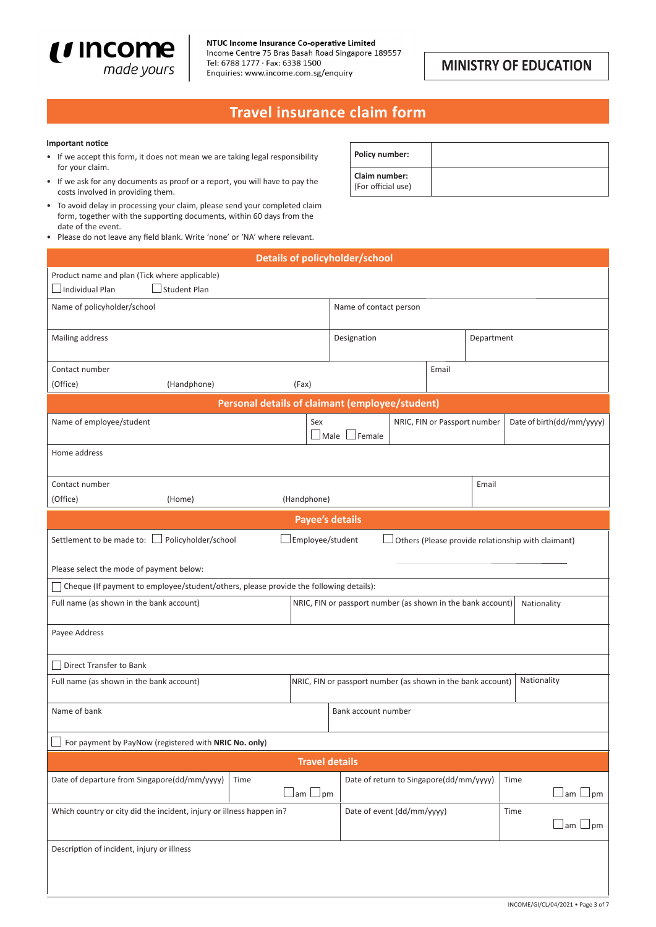

## **MINISTRY OF EDUCATION**

# **Travel insurance claim form**

### **Important notice**

- If we accept this form, it does not mean we are taking legal responsibility for your claim.
- If we ask for any documents as proof or a report, you will have to pay the costs involved in providing them.
- To avoid delay in processing your claim, please send your completed claim form, together with the supporting documents, within 60 days from the date of the event.
- Please do not leave any field blank. Write 'none' or 'NA' where relevant.

| <b>Policy number:</b>               |  |
|-------------------------------------|--|
| Claim number:<br>(For official use) |  |

|                                                                                       |                                                | <b>Details of policyholder/school</b>           |                                                             |            |                                                    |  |
|---------------------------------------------------------------------------------------|------------------------------------------------|-------------------------------------------------|-------------------------------------------------------------|------------|----------------------------------------------------|--|
| Product name and plan (Tick where applicable)                                         |                                                |                                                 |                                                             |            |                                                    |  |
| Individual Plan<br><b>Student Plan</b>                                                |                                                |                                                 |                                                             |            |                                                    |  |
| Name of policyholder/school                                                           |                                                | Name of contact person                          |                                                             |            |                                                    |  |
| Mailing address                                                                       |                                                | Designation                                     |                                                             | Department |                                                    |  |
| Contact number                                                                        |                                                |                                                 | Email                                                       |            |                                                    |  |
| (Office)<br>(Handphone)                                                               | (Fax)                                          |                                                 |                                                             |            |                                                    |  |
|                                                                                       |                                                | Personal details of claimant (employee/student) |                                                             |            |                                                    |  |
| Name of employee/student                                                              | Sex                                            | $\Box$ Female<br>$\Box$ Male $\parallel$        | NRIC, FIN or Passport number                                |            | Date of birth(dd/mm/yyyy)                          |  |
| Home address                                                                          |                                                |                                                 |                                                             |            |                                                    |  |
| Contact number                                                                        |                                                |                                                 |                                                             | Email      |                                                    |  |
| (Office)<br>(Home)                                                                    | (Handphone)                                    |                                                 |                                                             |            |                                                    |  |
|                                                                                       |                                                | <b>Payee's details</b>                          |                                                             |            |                                                    |  |
| Settlement to be made to: $\lfloor$<br>Policyholder/school                            | Employee/student                               |                                                 |                                                             |            | Others (Please provide relationship with claimant) |  |
| Please select the mode of payment below:                                              |                                                |                                                 |                                                             |            |                                                    |  |
| Cheque (If payment to employee/student/others, please provide the following details): |                                                |                                                 |                                                             |            |                                                    |  |
| Full name (as shown in the bank account)                                              |                                                |                                                 | NRIC, FIN or passport number (as shown in the bank account) |            | Nationality                                        |  |
| Payee Address                                                                         |                                                |                                                 |                                                             |            |                                                    |  |
| Direct Transfer to Bank                                                               |                                                |                                                 |                                                             |            |                                                    |  |
| Full name (as shown in the bank account)                                              |                                                |                                                 | NRIC, FIN or passport number (as shown in the bank account) |            | Nationality                                        |  |
| Name of bank                                                                          |                                                | Bank account number                             |                                                             |            |                                                    |  |
| For payment by PayNow (registered with NRIC No. only)                                 |                                                |                                                 |                                                             |            |                                                    |  |
| <b>Travel details</b>                                                                 |                                                |                                                 |                                                             |            |                                                    |  |
| Date of departure from Singapore(dd/mm/yyyy)<br>Time                                  | $\mathsf{Jam}\,\mathsf{\sqcup\!\sqcup\!pm\!m}$ |                                                 | Date of return to Singapore(dd/mm/yyyy)                     |            | Time<br>$\Box$ am $\Box$ pm                        |  |
| Which country or city did the incident, injury or illness happen in?                  |                                                |                                                 | Date of event (dd/mm/yyyy)                                  |            | Time<br>⊿am l<br>$\Box$ pm                         |  |
| Description of incident, injury or illness                                            |                                                |                                                 |                                                             |            |                                                    |  |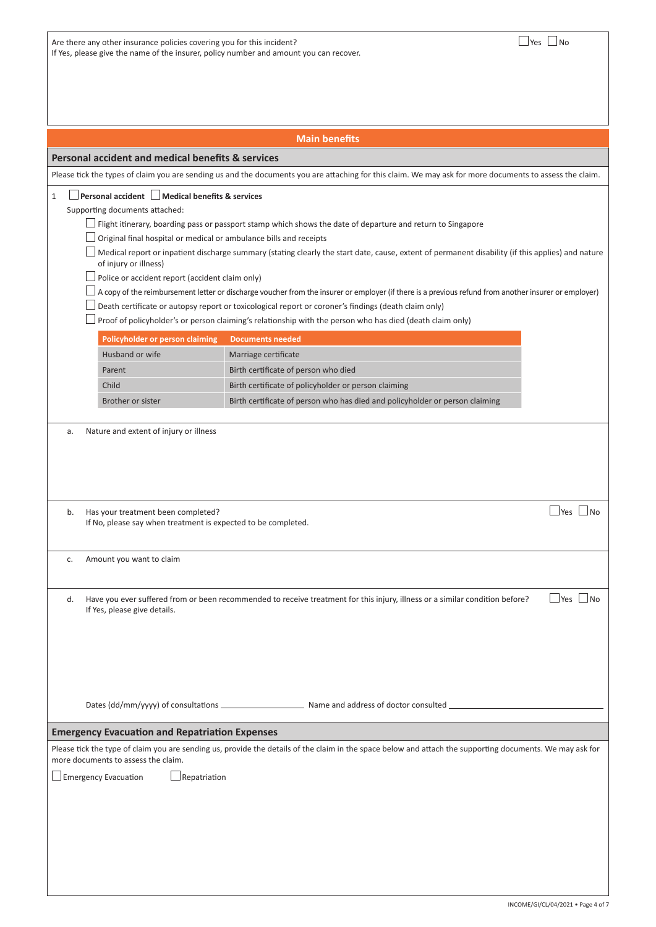| Are there any other insurance policies covering you for this incident?                 |
|----------------------------------------------------------------------------------------|
| If Yes, please give the name of the insurer, policy number and amount you can recover. |

| <b>Main benefits</b>                                                                                                                                                       |                                                                                                                                                           |  |  |  |  |  |  |
|----------------------------------------------------------------------------------------------------------------------------------------------------------------------------|-----------------------------------------------------------------------------------------------------------------------------------------------------------|--|--|--|--|--|--|
| Personal accident and medical benefits & services                                                                                                                          |                                                                                                                                                           |  |  |  |  |  |  |
| Please tick the types of claim you are sending us and the documents you are attaching for this claim. We may ask for more documents to assess the claim.                   |                                                                                                                                                           |  |  |  |  |  |  |
| Personal accident   Medical benefits & services<br>$\mathbf{1}$<br>Supporting documents attached:                                                                          |                                                                                                                                                           |  |  |  |  |  |  |
|                                                                                                                                                                            | Flight itinerary, boarding pass or passport stamp which shows the date of departure and return to Singapore                                               |  |  |  |  |  |  |
| Original final hospital or medical or ambulance bills and receipts                                                                                                         |                                                                                                                                                           |  |  |  |  |  |  |
| Medical report or inpatient discharge summary (stating clearly the start date, cause, extent of permanent disability (if this applies) and nature<br>of injury or illness) |                                                                                                                                                           |  |  |  |  |  |  |
| Police or accident report (accident claim only)                                                                                                                            | A copy of the reimbursement letter or discharge voucher from the insurer or employer (if there is a previous refund from another insurer or employer)     |  |  |  |  |  |  |
|                                                                                                                                                                            | Death certificate or autopsy report or toxicological report or coroner's findings (death claim only)                                                      |  |  |  |  |  |  |
|                                                                                                                                                                            | Proof of policyholder's or person claiming's relationship with the person who has died (death claim only)                                                 |  |  |  |  |  |  |
| Policyholder or person claiming                                                                                                                                            | <b>Documents needed</b>                                                                                                                                   |  |  |  |  |  |  |
| Husband or wife                                                                                                                                                            | Marriage certificate                                                                                                                                      |  |  |  |  |  |  |
| Parent                                                                                                                                                                     | Birth certificate of person who died                                                                                                                      |  |  |  |  |  |  |
| Child                                                                                                                                                                      | Birth certificate of policyholder or person claiming                                                                                                      |  |  |  |  |  |  |
| Brother or sister                                                                                                                                                          | Birth certificate of person who has died and policyholder or person claiming                                                                              |  |  |  |  |  |  |
|                                                                                                                                                                            |                                                                                                                                                           |  |  |  |  |  |  |
| Nature and extent of injury or illness<br>a.                                                                                                                               |                                                                                                                                                           |  |  |  |  |  |  |
| Has your treatment been completed?<br>b.<br>If No, please say when treatment is expected to be completed.                                                                  | $\Box$ Yes $\Box$ No                                                                                                                                      |  |  |  |  |  |  |
| Amount you want to claim<br>c.                                                                                                                                             |                                                                                                                                                           |  |  |  |  |  |  |
| d.<br>If Yes, please give details.                                                                                                                                         | l No<br>Have you ever suffered from or been recommended to receive treatment for this injury, illness or a similar condition before?<br>Yes               |  |  |  |  |  |  |
|                                                                                                                                                                            |                                                                                                                                                           |  |  |  |  |  |  |
|                                                                                                                                                                            |                                                                                                                                                           |  |  |  |  |  |  |
| <b>Emergency Evacuation and Repatriation Expenses</b>                                                                                                                      |                                                                                                                                                           |  |  |  |  |  |  |
| more documents to assess the claim.                                                                                                                                        | Please tick the type of claim you are sending us, provide the details of the claim in the space below and attach the supporting documents. We may ask for |  |  |  |  |  |  |
| <b>Emergency Evacuation</b><br>Repatriation                                                                                                                                |                                                                                                                                                           |  |  |  |  |  |  |
|                                                                                                                                                                            |                                                                                                                                                           |  |  |  |  |  |  |
|                                                                                                                                                                            |                                                                                                                                                           |  |  |  |  |  |  |
|                                                                                                                                                                            |                                                                                                                                                           |  |  |  |  |  |  |
|                                                                                                                                                                            |                                                                                                                                                           |  |  |  |  |  |  |
|                                                                                                                                                                            |                                                                                                                                                           |  |  |  |  |  |  |
|                                                                                                                                                                            |                                                                                                                                                           |  |  |  |  |  |  |
|                                                                                                                                                                            |                                                                                                                                                           |  |  |  |  |  |  |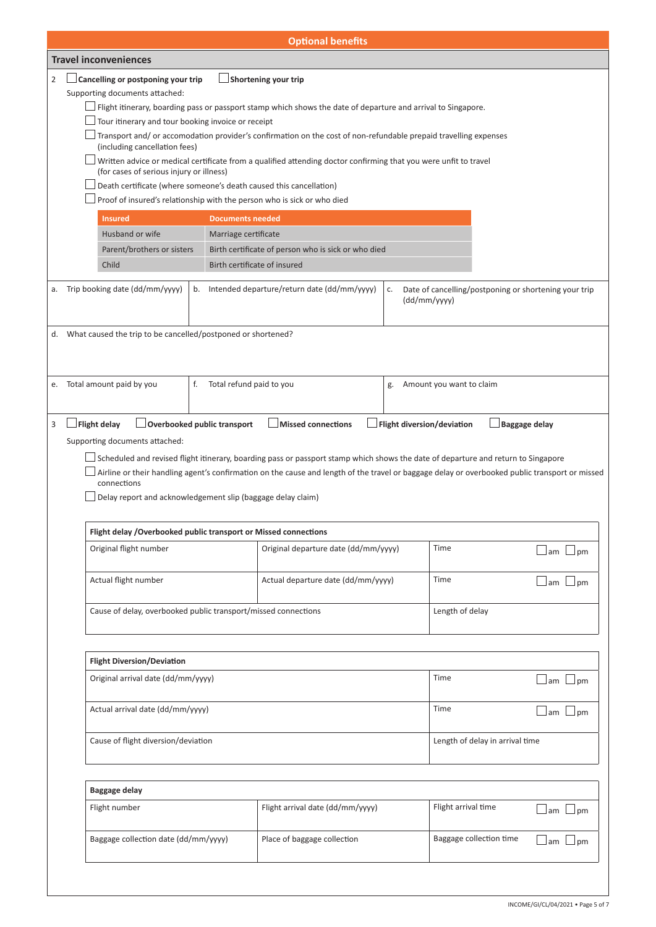|                | <b>Optional benefits</b>                                                                                      |                                                                    |                                |                                                                                                                                                |    |                                                                       |                     |  |  |
|----------------|---------------------------------------------------------------------------------------------------------------|--------------------------------------------------------------------|--------------------------------|------------------------------------------------------------------------------------------------------------------------------------------------|----|-----------------------------------------------------------------------|---------------------|--|--|
|                |                                                                                                               | <b>Travel inconveniences</b>                                       |                                |                                                                                                                                                |    |                                                                       |                     |  |  |
| $\overline{2}$ |                                                                                                               | Cancelling or postponing your trip                                 |                                | Shortening your trip                                                                                                                           |    |                                                                       |                     |  |  |
|                |                                                                                                               | Supporting documents attached:                                     |                                |                                                                                                                                                |    |                                                                       |                     |  |  |
|                | Flight itinerary, boarding pass or passport stamp which shows the date of departure and arrival to Singapore. |                                                                    |                                |                                                                                                                                                |    |                                                                       |                     |  |  |
|                |                                                                                                               | Tour itinerary and tour booking invoice or receipt                 |                                |                                                                                                                                                |    |                                                                       |                     |  |  |
|                |                                                                                                               | (including cancellation fees)                                      |                                | Transport and/or accomodation provider's confirmation on the cost of non-refundable prepaid travelling expenses                                |    |                                                                       |                     |  |  |
|                |                                                                                                               | (for cases of serious injury or illness)                           |                                | Written advice or medical certificate from a qualified attending doctor confirming that you were unfit to travel                               |    |                                                                       |                     |  |  |
|                |                                                                                                               | Death certificate (where someone's death caused this cancellation) |                                |                                                                                                                                                |    |                                                                       |                     |  |  |
|                | Proof of insured's relationship with the person who is sick or who died                                       |                                                                    |                                |                                                                                                                                                |    |                                                                       |                     |  |  |
|                |                                                                                                               | <b>Insured</b>                                                     | <b>Documents needed</b>        |                                                                                                                                                |    |                                                                       |                     |  |  |
|                |                                                                                                               | Husband or wife                                                    | Marriage certificate           |                                                                                                                                                |    |                                                                       |                     |  |  |
|                |                                                                                                               | Parent/brothers or sisters                                         |                                | Birth certificate of person who is sick or who died                                                                                            |    |                                                                       |                     |  |  |
|                |                                                                                                               | Child                                                              |                                | Birth certificate of insured                                                                                                                   |    |                                                                       |                     |  |  |
| а.             |                                                                                                               | Trip booking date (dd/mm/yyyy)                                     |                                | b. Intended departure/return date (dd/mm/yyyy)                                                                                                 | c. | Date of cancelling/postponing or shortening your trip<br>(dd/mm/yyyy) |                     |  |  |
|                |                                                                                                               | d. What caused the trip to be cancelled/postponed or shortened?    |                                |                                                                                                                                                |    |                                                                       |                     |  |  |
|                |                                                                                                               |                                                                    |                                |                                                                                                                                                |    |                                                                       |                     |  |  |
|                |                                                                                                               |                                                                    |                                |                                                                                                                                                |    |                                                                       |                     |  |  |
| е.             |                                                                                                               | Total amount paid by you                                           | f.<br>Total refund paid to you |                                                                                                                                                | g. | Amount you want to claim                                              |                     |  |  |
| 3              |                                                                                                               | <b>Flight delay</b>                                                | Overbooked public transport    | <b>Missed connections</b>                                                                                                                      |    | Flight diversion/deviation<br><b>Baggage delay</b>                    |                     |  |  |
|                |                                                                                                               | Supporting documents attached:                                     |                                |                                                                                                                                                |    |                                                                       |                     |  |  |
|                |                                                                                                               |                                                                    |                                |                                                                                                                                                |    |                                                                       |                     |  |  |
|                |                                                                                                               |                                                                    |                                | Airline or their handling agent's confirmation on the cause and length of the travel or baggage delay or overbooked public transport or missed |    |                                                                       |                     |  |  |
|                |                                                                                                               | connections                                                        |                                |                                                                                                                                                |    |                                                                       |                     |  |  |
|                |                                                                                                               | Delay report and acknowledgement slip (baggage delay claim)        |                                |                                                                                                                                                |    |                                                                       |                     |  |  |
|                |                                                                                                               |                                                                    |                                |                                                                                                                                                |    |                                                                       |                     |  |  |
|                |                                                                                                               | Flight delay / Overbooked public transport or Missed connections   |                                |                                                                                                                                                |    |                                                                       |                     |  |  |
|                |                                                                                                               | Original flight number                                             |                                | Original departure date (dd/mm/yyyy)                                                                                                           |    | Time                                                                  | $\Box$ am $\Box$ pm |  |  |
|                |                                                                                                               | Actual flight number                                               |                                | Actual departure date (dd/mm/yyyy)                                                                                                             |    | Time                                                                  | $\Box$ am $\Box$ pm |  |  |
|                |                                                                                                               | Cause of delay, overbooked public transport/missed connections     |                                |                                                                                                                                                |    | Length of delay                                                       |                     |  |  |
|                |                                                                                                               |                                                                    |                                |                                                                                                                                                |    |                                                                       |                     |  |  |
|                |                                                                                                               | <b>Flight Diversion/Deviation</b>                                  |                                |                                                                                                                                                |    |                                                                       |                     |  |  |
|                |                                                                                                               | Original arrival date (dd/mm/yyyy)                                 |                                |                                                                                                                                                |    | Time                                                                  | $\Box$ am $\Box$ pm |  |  |
|                |                                                                                                               | Actual arrival date (dd/mm/yyyy)                                   |                                |                                                                                                                                                |    | Time                                                                  | $\Box$ am $\Box$ pm |  |  |
|                |                                                                                                               | Cause of flight diversion/deviation                                |                                |                                                                                                                                                |    | Length of delay in arrival time                                       |                     |  |  |
|                |                                                                                                               |                                                                    |                                |                                                                                                                                                |    |                                                                       |                     |  |  |
|                |                                                                                                               | <b>Baggage delay</b>                                               |                                |                                                                                                                                                |    |                                                                       |                     |  |  |
|                |                                                                                                               | Flight number                                                      |                                | Flight arrival date (dd/mm/yyyy)                                                                                                               |    | Flight arrival time                                                   | $\Box$ am $\Box$ pm |  |  |
|                |                                                                                                               | Baggage collection date (dd/mm/yyyy)                               |                                | Place of baggage collection                                                                                                                    |    | Baggage collection time                                               | $\Box$ am $\Box$ pm |  |  |
|                |                                                                                                               |                                                                    |                                |                                                                                                                                                |    |                                                                       |                     |  |  |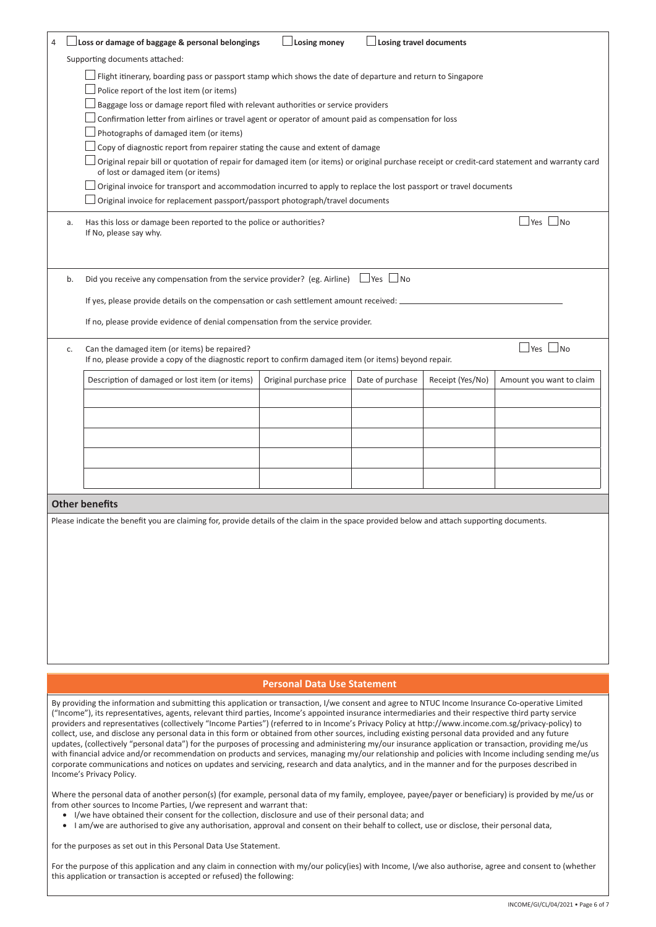| 4  | Loss or damage of baggage & personal belongings                                                                                                                                                                                                                                                                                                                                                                                                                                                                                                                                                                                                                                                                                                                                                                                                                                       | <b>Losing money</b> | $\Box$ Losing travel documents |  |  |  |  |  |
|----|---------------------------------------------------------------------------------------------------------------------------------------------------------------------------------------------------------------------------------------------------------------------------------------------------------------------------------------------------------------------------------------------------------------------------------------------------------------------------------------------------------------------------------------------------------------------------------------------------------------------------------------------------------------------------------------------------------------------------------------------------------------------------------------------------------------------------------------------------------------------------------------|---------------------|--------------------------------|--|--|--|--|--|
|    | Supporting documents attached:                                                                                                                                                                                                                                                                                                                                                                                                                                                                                                                                                                                                                                                                                                                                                                                                                                                        |                     |                                |  |  |  |  |  |
|    | Flight itinerary, boarding pass or passport stamp which shows the date of departure and return to Singapore<br>Police report of the lost item (or items)<br>Baggage loss or damage report filed with relevant authorities or service providers<br>Confirmation letter from airlines or travel agent or operator of amount paid as compensation for loss<br>Photographs of damaged item (or items)<br>Copy of diagnostic report from repairer stating the cause and extent of damage<br>Original repair bill or quotation of repair for damaged item (or items) or original purchase receipt or credit-card statement and warranty card<br>of lost or damaged item (or items)<br>Original invoice for transport and accommodation incurred to apply to replace the lost passport or travel documents<br>Original invoice for replacement passport/passport photograph/travel documents |                     |                                |  |  |  |  |  |
| a. | Yes  <br>N <sub>O</sub><br>Has this loss or damage been reported to the police or authorities?<br>If No, please say why.                                                                                                                                                                                                                                                                                                                                                                                                                                                                                                                                                                                                                                                                                                                                                              |                     |                                |  |  |  |  |  |
| b. | Did you receive any compensation from the service provider? (eg. Airline)<br>$\Box$ Yes<br>$\Box$ No<br>If yes, please provide details on the compensation or cash settlement amount received: _<br>If no, please provide evidence of denial compensation from the service provider.                                                                                                                                                                                                                                                                                                                                                                                                                                                                                                                                                                                                  |                     |                                |  |  |  |  |  |
| c. | $\Box$ Yes $\Box$ No<br>Can the damaged item (or items) be repaired?<br>If no, please provide a copy of the diagnostic report to confirm damaged item (or items) beyond repair.                                                                                                                                                                                                                                                                                                                                                                                                                                                                                                                                                                                                                                                                                                       |                     |                                |  |  |  |  |  |
|    | Description of damaged or lost item (or items)<br>Original purchase price<br>Date of purchase<br>Receipt (Yes/No)<br>Amount you want to claim                                                                                                                                                                                                                                                                                                                                                                                                                                                                                                                                                                                                                                                                                                                                         |                     |                                |  |  |  |  |  |
|    |                                                                                                                                                                                                                                                                                                                                                                                                                                                                                                                                                                                                                                                                                                                                                                                                                                                                                       |                     |                                |  |  |  |  |  |
|    | <b>Other benefits</b><br>Please indicate the benefit you are claiming for, provide details of the claim in the space provided below and attach supporting documents.                                                                                                                                                                                                                                                                                                                                                                                                                                                                                                                                                                                                                                                                                                                  |                     |                                |  |  |  |  |  |

## **Personal Data Use Statement**

By providing the information and submitting this application or transaction, I/we consent and agree to NTUC Income Insurance Co-operative Limited ("Income"), its representatives, agents, relevant third parties, Income's appointed insurance intermediaries and their respective third party service providers and representatives (collectively "Income Parties") (referred to in Income's Privacy Policy at http://www.income.com.sg/privacy-policy) to collect, use, and disclose any personal data in this form or obtained from other sources, including existing personal data provided and any future updates, (collectively "personal data") for the purposes of processing and administering my/our insurance application or transaction, providing me/us with financial advice and/or recommendation on products and services, managing my/our relationship and policies with Income including sending me/us corporate communications and notices on updates and servicing, research and data analytics, and in the manner and for the purposes described in Income's Privacy Policy.

Where the personal data of another person(s) (for example, personal data of my family, employee, payee/payer or beneficiary) is provided by me/us or from other sources to Income Parties, I/we represent and warrant that:

- I/we have obtained their consent for the collection, disclosure and use of their personal data; and
- I am/we are authorised to give any authorisation, approval and consent on their behalf to collect, use or disclose, their personal data,

for the purposes as set out in this Personal Data Use Statement.

For the purpose of this application and any claim in connection with my/our policy(ies) with Income, I/we also authorise, agree and consent to (whether this application or transaction is accepted or refused) the following: